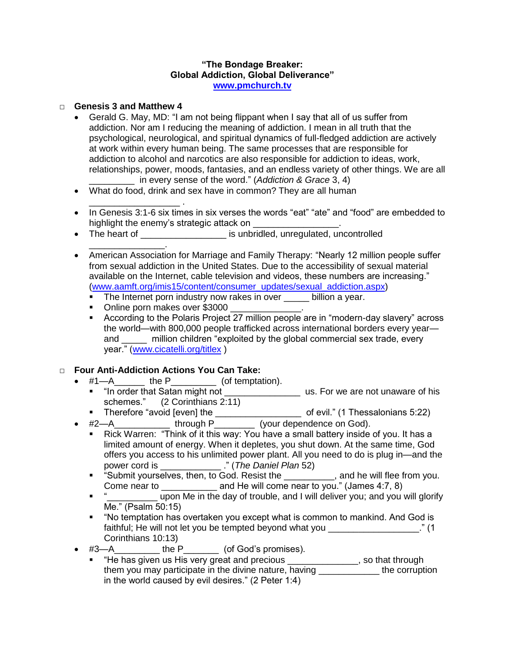## **"The Bondage Breaker: Global Addiction, Global Deliverance" [www.pmchurch.tv](http://www.pmchurch.tv/)**

## □ **Genesis 3 and Matthew 4**

- Gerald G. May, MD: "I am not being flippant when I say that all of us suffer from addiction. Nor am I reducing the meaning of addiction. I mean in all truth that the psychological, neurological, and spiritual dynamics of full-fledged addiction are actively at work within every human being. The same processes that are responsible for addiction to alcohol and narcotics are also responsible for addiction to ideas, work, relationships, power, moods, fantasies, and an endless variety of other things. We are all \_\_\_\_\_\_\_\_\_ in every sense of the word." (*Addiction & Grace* 3, 4)
- What do food, drink and sex have in common? They are all human
- \_\_\_\_\_\_\_\_\_\_\_\_\_\_\_\_\_\_ . • In Genesis 3:1-6 six times in six verses the words "eat" "ate" and "food" are embedded to highlight the enemy's strategic attack on
- The heart of \_\_\_\_\_\_\_\_\_\_\_\_\_\_\_\_\_ is unbridled, unregulated, uncontrolled
- \_\_\_\_\_\_\_\_\_\_\_\_\_\_\_. • American Association for Marriage and Family Therapy: "Nearly 12 million people suffer from sexual addiction in the United States. Due to the accessibility of sexual material available on the Internet, cable television and videos, these numbers are increasing." [\(www.aamft.org/imis15/content/consumer\\_updates/sexual\\_addiction.aspx\)](http://www.aamft.org/imis15/content/consumer_updates/sexual_addiction.aspx)
	- The Internet porn industry now rakes in over billion a year.
	- Online porn makes over \$3000
	- According to the Polaris Project 27 million people are in "modern-day slavery" across the world—with 800,000 people trafficked across international borders every year and \_\_\_\_\_ million children "exploited by the global commercial sex trade, every year." [\(www.cicatelli.org/titlex](http://www.cicatelli.org/titlex) )

## □ **Four Anti-Addiction Actions You Can Take:**

- $\bullet$  #1—A\_\_\_\_\_\_\_\_ the P\_\_\_\_\_\_\_\_\_\_\_ (of temptation).
	- "In order that Satan might not \_\_\_\_\_\_\_\_\_\_\_\_\_\_\_\_\_\_\_\_\_\_ us. For we are not unaware of his schemes." (2 Corinthians 2:11)
	- Therefore "avoid [even] the \_\_\_\_\_\_\_\_\_\_\_\_\_\_\_\_\_\_\_\_\_\_\_\_ of evil." (1 Thessalonians 5:22)
- #2—A\_\_\_\_\_\_\_\_\_\_\_\_\_\_ through P\_\_\_\_\_\_\_\_\_\_ (your dependence on God).
	- Rick Warren: "Think of it this way: You have a small battery inside of you. It has a limited amount of energy. When it depletes, you shut down. At the same time, God offers you access to his unlimited power plant. All you need to do is plug in—and the power cord is \_\_\_\_\_\_\_\_\_\_\_\_ ." (*The Daniel Plan* 52)
	- "Submit yourselves, then, to God. Resist the \_\_\_\_\_\_\_\_, and he will flee from you. Come near to \_\_\_\_\_\_\_\_\_\_\_ and He will come near to you." (James 4:7, 8)
	- upon Me in the day of trouble, and I will deliver you; and you will glorify Me." (Psalm 50:15)
	- "No temptation has overtaken you except what is common to mankind. And God is faithful; He will not let you be tempted beyond what you \_\_\_\_\_\_\_\_\_\_\_\_\_\_\_\_\_\_." (1 Corinthians 10:13)
- #3—A the P (of God's promises).
	- " "He has given us His very great and precious \_\_\_\_\_\_\_\_\_\_\_\_\_\_, so that through them you may participate in the divine nature, having \_\_\_\_\_\_\_\_\_\_\_\_ the corruption in the world caused by evil desires." (2 Peter 1:4)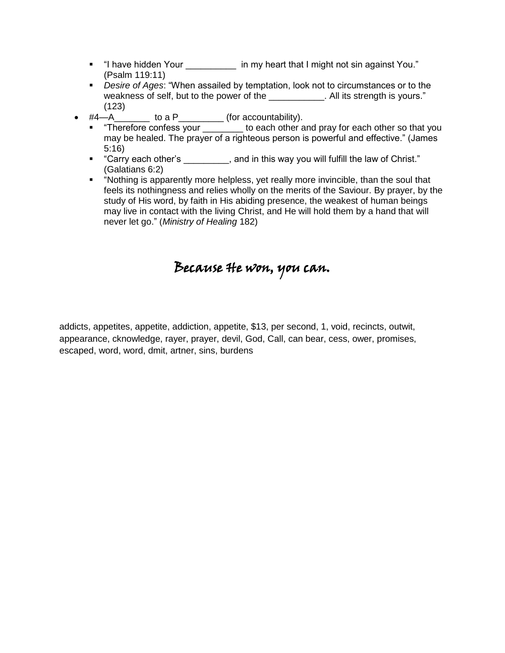- "I have hidden Your \_\_\_\_\_\_\_\_\_\_ in my heart that I might not sin against You." (Psalm 119:11)
- *Desire of Ages*: "When assailed by temptation, look not to circumstances or to the weakness of self, but to the power of the **Net all its strength is yours.**" (123)
- #4—A\_\_\_\_\_\_\_ to a P\_\_\_\_\_\_\_\_\_ (for accountability).
	- "Therefore confess your \_\_\_\_\_\_\_ to each other and pray for each other so that you may be healed. The prayer of a righteous person is powerful and effective." (James 5:16)
	- "Carry each other's each other's each other's each other's and in this way you will fulfill the law of Christ." (Galatians 6:2)
	- "Nothing is apparently more helpless, yet really more invincible, than the soul that feels its nothingness and relies wholly on the merits of the Saviour. By prayer, by the study of His word, by faith in His abiding presence, the weakest of human beings may live in contact with the living Christ, and He will hold them by a hand that will never let go." (*Ministry of Healing* 182)

## Because He won, you can.

addicts, appetites, appetite, addiction, appetite, \$13, per second, 1, void, recincts, outwit, appearance, cknowledge, rayer, prayer, devil, God, Call, can bear, cess, ower, promises, escaped, word, word, dmit, artner, sins, burdens